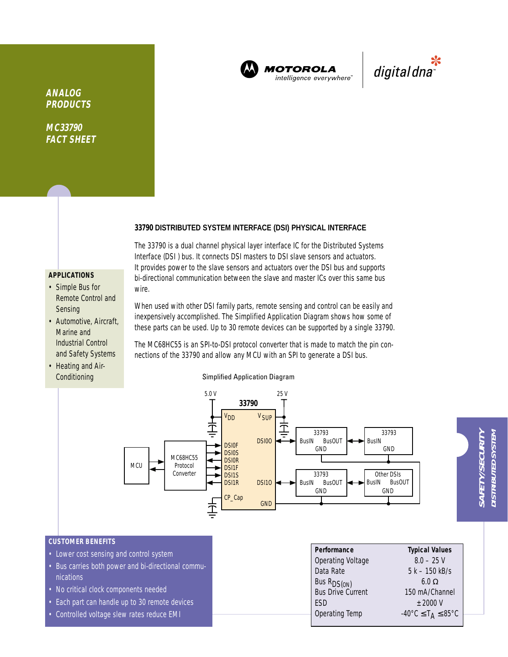

**MOTOROLA** intelligence everywhere"

\*<br>"digital dna

**ANALOG PRODUCTS**

**MC33790 FACT SHEET**

# **33790 DISTRIBUTED SYSTEM INTERFACE (DSI) PHYSICAL INTERFACE**

The 33790 is a dual channel physical layer interface IC for the Distributed Systems Interface (DSI ) bus. It connects DSI masters to DSI slave sensors and actuators. It provides power to the slave sensors and actuators over the DSI bus and supports bi-directional communication between the slave and master ICs over this same bus wire.

# **APPLICATIONS**

- Simple Bus for Remote Control and Sensing
- Automotive, Aircraft, Marine and Industrial Control and Safety Systems
- Heating and Air-**Conditioning**

When used with other DSI family parts, remote sensing and control can be easily and inexpensively accomplished. The Simplified Application Diagram shows how some of these parts can be used. Up to 30 remote devices can be supported by a single 33790.

The MC68HC55 is an SPI-to-DSI protocol converter that is made to match the pin connections of the 33790 and allow any MCU with an SPI to generate a DSI bus.

Simplified Application Diagram

#### 5.0 V 25 V **33790 V<sub>DD</sub>** V SUP 上<br>二 Τ 33793 33793 DSI0O BusIN BusOUT BusIN **DSI0F** GND GND **DSI0S** MC68HC55 **DSI0R** MCU Protocol DSI1F Converter 33793 Other DSIs<br>BusIN BusC DSI1S DSI1R DSI1O BusIN BusOUT **BusOUT** GND GND CP\_Cap GND

### **CUSTOMER BENEFITS**

- Lower cost sensing and control system
- Bus carries both power and bi-directional communications
- No critical clock components needed
- Each part can handle up to 30 remote devices
- Controlled voltage slew rates reduce EMI

| Performance                                  | <b>Typical Values</b>                                        |
|----------------------------------------------|--------------------------------------------------------------|
| <b>Operating Voltage</b>                     | $8.0 - 25$ V                                                 |
| Data Rate                                    | $5 k - 150 kB/s$                                             |
| Bus R <sub>DS(ON)</sub><br>Bus Drive Current | 6.0 $\Omega$                                                 |
|                                              | 150 mA/Channel                                               |
| <b>FSD</b>                                   | $+2000V$                                                     |
| Operating Temp                               | $-40^{\circ}$ C $\leq$ T <sub>A</sub> $\leq$ 85 $^{\circ}$ C |
|                                              |                                                              |